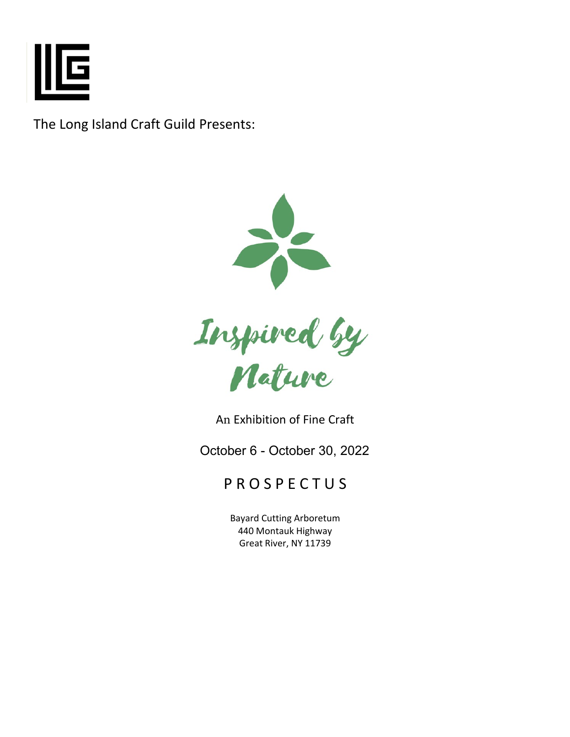

The Long Island Craft Guild Presents:



An Exhibition of Fine Craft

October 6 - October 30, 2022

# P R O S P E C T U S

Bayard Cutting Arboretum 440 Montauk Highway Great River, NY 11739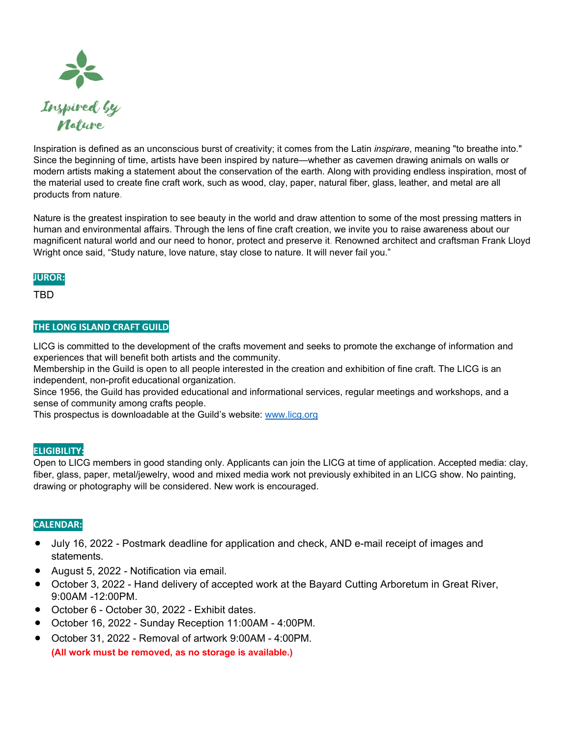

Inspiration is defined as an unconscious burst of creativity; it comes from the Latin *inspirare*, meaning "to breathe into." Since the beginning of time, artists have been inspired by nature—whether as cavemen drawing animals on walls or modern artists making a statement about the conservation of the earth. Along with providing endless inspiration, most of the material used to create fine craft work, such as wood, clay, paper, natural fiber, glass, leather, and metal are all products from nature.

Nature is the greatest inspiration to see beauty in the world and draw attention to some of the most pressing matters in human and environmental affairs. Through the lens of fine craft creation, we invite you to raise awareness about our magnificent natural world and our need to honor, protect and preserve it. Renowned architect and craftsman Frank Lloyd Wright once said, "Study nature, love nature, stay close to nature. It will never fail you."

## **JUROR:**

TBD

# **THE LONG ISLAND CRAFT GUILD**

LICG is committed to the development of the crafts movement and seeks to promote the exchange of information and experiences that will benefit both artists and the community.

Membership in the Guild is open to all people interested in the creation and exhibition of fine craft. The LICG is an independent, non-profit educational organization.

Since 1956, the Guild has provided educational and informational services, regular meetings and workshops, and a sense of community among crafts people.

This prospectus is downloadable at the Guild's website: [www.licg.org](http://www.licg.org)

## **ELIGIBILITY:**

Open to LICG members in good standing only. Applicants can join the LICG at time of application. Accepted media: clay, fiber, glass, paper, metal/jewelry, wood and mixed media work [not pr](http://www.licg.org/)eviously exhibited in an LICG show. No painting, drawing or photography will be considered. New work is encouraged.

## **CALENDAR:**

- July 16, 2022 Postmark deadline for application and check, AND e-mail receipt of images and statements.
- August 5, 2022 Notification via email.
- October 3, 2022 Hand delivery of accepted work at the Bayard Cutting Arboretum in Great River, 9:00AM -12:00PM.
- October 6 October 30, 2022 Exhibit dates.
- October 16, 2022 Sunday Reception 11:00AM 4:00PM.
- October 31, 2022 Removal of artwork 9:00AM 4:00PM. **(All work must be removed, as no storage is available.)**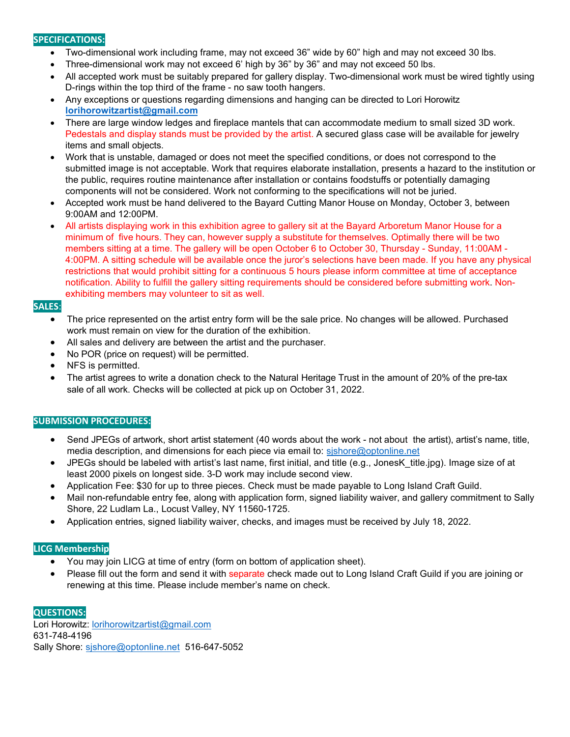## **SPECIFICATIONS:**

- Two-dimensional work including frame, may not exceed 36" wide by 60" high and may not exceed 30 lbs.
- Three-dimensional work may not exceed 6' high by 36" by 36" and may not exceed 50 lbs.
- All accepted work must be suitably prepared for gallery display. Two-dimensional work must be wired tightly using D-rings within the top third of the frame - no saw tooth hangers.
- Any [exceptions or questions regarding](mailto:Horowitzlorihorowitzartist@gmail.com%E2%80%A2There) dimensions and hanging can be directed to Lori Horowitz **[lorihorowitzartist@gmail.com](mailto:lorihorowitzartist@gmail.com)**
- [There](mailto:Horowitzlorihorowitzartist@gmail.com%E2%80%A2There) are large window ledges and fireplace mantels that can accommodate medium to small sized 3D work. Pedestals and display stands must be provided by the artist. A secured glass case will be available for jewelry items and small objects.
- Work that is unstable, damaged or does not meet the specified conditions, or does not correspond to the submitted image is not acceptable. Work that requires elaborate installation, presents a hazard to the institution or the public, requires routine maintenance after installation or contains foodstuffs or potentially damaging components will not be considered. Work not conforming to the specifications will not be juried.
- Accepted work must be hand delivered to the Bayard Cutting Manor House on Monday, October 3, between 9:00AM and 12:00PM.
- All artists displaying work in this exhibition agree to gallery sit at the Bayard Arboretum Manor House for a minimum of five hours. They can, however supply a substitute for themselves. Optimally there will be two members sitting at a time. The gallery will be open October 6 to October 30, Thursday - Sunday, 11:00AM - 4:00PM. A sitting schedule will be available once the juror's selections have been made. If you have any physical restrictions that would prohibit sitting for a continuous 5 hours please inform committee at time of acceptance notification. Ability to fulfill the gallery sitting requirements should be considered before submitting work. Nonexhibiting members may volunteer to sit as well.

## **SALES**:

- The price represented on the artist entry form will be the sale price. No changes will be allowed. Purchased work must remain on view for the duration of the exhibition.
- All sales and delivery are between the artist and the purchaser.
- No POR (price on request) will be permitted.
- NFS is permitted.
- The artist agrees to write a donation check to the Natural Heritage Trust in the amount of 20% of the pre-tax sale of all work. Checks will be collected at pick up on October 31, 2022.

#### **SUBMISSION PROCEDURES:**

- Send JPEGs of [artwork, short artist statement](mailto:sjshore@optonline.net) (40 words about the work not about the artist), artist's name, title, media description, and dimensions for each piece via email to: sishore@optonline.net
- [JPEGs](mailto:sjshore@optonline.net%E2%80%A2JPEGs) should be labeled with artist's last name, first initial, and title (e.g., JonesK\_title.jpg). Image size of at least 2000 pixels on longest side. 3-D work may include second view.
- Application Fee: \$30 for up to three pieces. Check must be made payable to Long Island Craft Guild.
- Mail non-refundable entry fee, along with application form, signed liability waiver, and gallery commitment to Sally Shore, 22 Ludlam La., Locust Valley, NY 11560-1725.
- Application entries, signed liability waiver, checks, and images must be received by July 18, 2022.

#### **LICG Membership**

- You may join LICG at time of entry (form on bottom of application sheet).
- Please fill out the form and send it with separate check made out to Long Island Craft Guild if you are joining or renewing at this time. Please include member's name on check.

#### **QUESTIONS:**

Lori Horowitz[: lorihorowitzartist@gmail.com](mailto:lorihorowitzartist@gmail.com) 631-748-4196 Sally Shore: [sjshore@optonline.net](mailto:sjshore@optonline.net) 516-647-5052